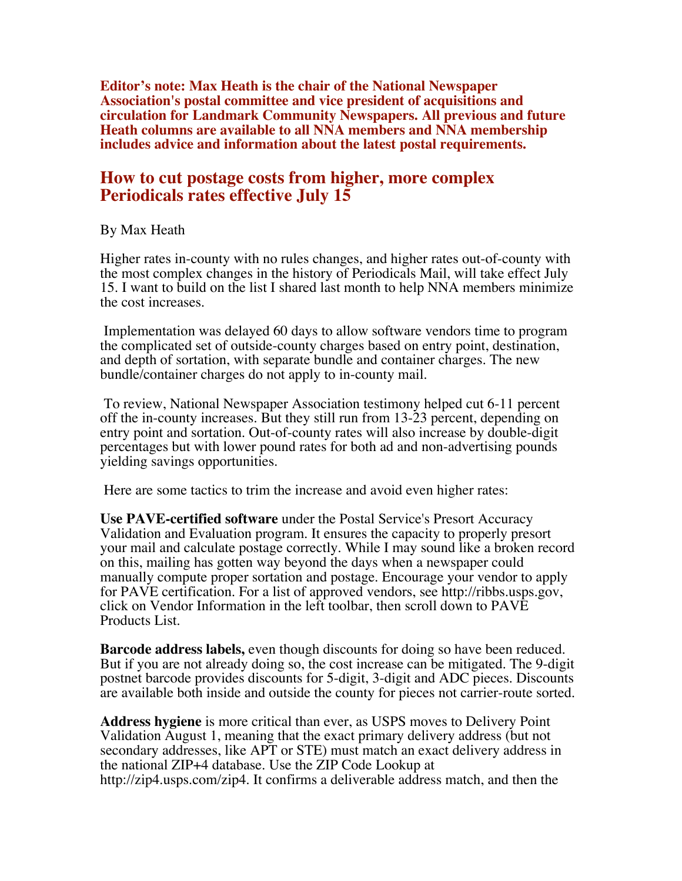**Editor's note: Max Heath is the chair of the National Newspaper Association's postal committee and vice president of acquisitions and circulation for Landmark Community Newspapers. All previous and future Heath columns are available to all NNA members and NNA membership includes advice and information about the latest postal requirements.**

## **How to cut postage costs from higher, more complex Periodicals rates effective July 15**

## By Max Heath

Higher rates in-county with no rules changes, and higher rates out-of-county with the most complex changes in the history of Periodicals Mail, will take effect July 15. I want to build on the list I shared last month to help NNA members minimize the cost increases.

 Implementation was delayed 60 days to allow software vendors time to program the complicated set of outside-county charges based on entry point, destination, and depth of sortation, with separate bundle and container charges. The new bundle/container charges do not apply to in-county mail.

 To review, National Newspaper Association testimony helped cut 6-11 percent off the in-county increases. But they still run from 13-23 percent, depending on entry point and sortation. Out-of-county rates will also increase by double-digit percentages but with lower pound rates for both ad and non-advertising pounds yielding savings opportunities.

Here are some tactics to trim the increase and avoid even higher rates:

**Use PAVE-certified software** under the Postal Service's Presort Accuracy Validation and Evaluation program. It ensures the capacity to properly presort your mail and calculate postage correctly. While I may sound like a broken record on this, mailing has gotten way beyond the days when a newspaper could manually compute proper sortation and postage. Encourage your vendor to apply for PAVE certification. For a list of approved vendors, see http://ribbs.usps.gov, click on Vendor Information in the left toolbar, then scroll down to PAVE Products List.

**Barcode address labels,** even though discounts for doing so have been reduced. But if you are not already doing so, the cost increase can be mitigated. The 9-digit postnet barcode provides discounts for 5-digit, 3-digit and ADC pieces. Discounts are available both inside and outside the county for pieces not carrier-route sorted.

**Address hygiene** is more critical than ever, as USPS moves to Delivery Point Validation August 1, meaning that the exact primary delivery address (but not secondary addresses, like APT or STE) must match an exact delivery address in the national ZIP+4 database. Use the ZIP Code Lookup at http://zip4.usps.com/zip4. It confirms a deliverable address match, and then the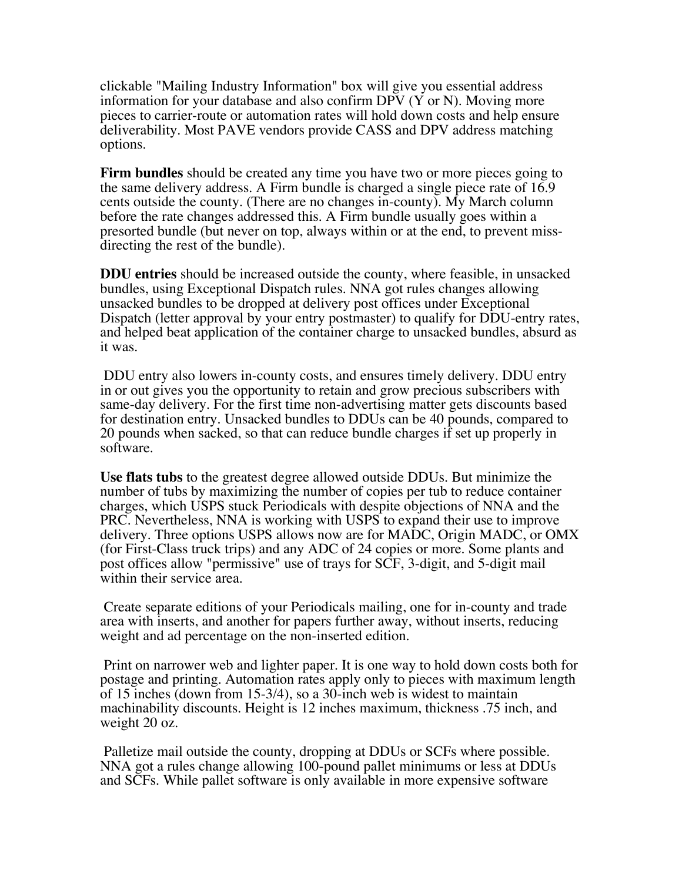clickable "Mailing Industry Information" box will give you essential address information for your database and also confirm  $DPV(Y \text{ or } N)$ . Moving more pieces to carrier-route or automation rates will hold down costs and help ensure deliverability. Most PAVE vendors provide CASS and DPV address matching options.

**Firm bundles** should be created any time you have two or more pieces going to the same delivery address. A Firm bundle is charged a single piece rate of 16.9 cents outside the county. (There are no changes in-county). My March column before the rate changes addressed this. A Firm bundle usually goes within a presorted bundle (but never on top, always within or at the end, to prevent missdirecting the rest of the bundle).

**DDU entries** should be increased outside the county, where feasible, in unsacked bundles, using Exceptional Dispatch rules. NNA got rules changes allowing unsacked bundles to be dropped at delivery post offices under Exceptional Dispatch (letter approval by your entry postmaster) to qualify for DDU-entry rates, and helped beat application of the container charge to unsacked bundles, absurd as it was.

 DDU entry also lowers in-county costs, and ensures timely delivery. DDU entry in or out gives you the opportunity to retain and grow precious subscribers with same-day delivery. For the first time non-advertising matter gets discounts based for destination entry. Unsacked bundles to DDUs can be 40 pounds, compared to 20 pounds when sacked, so that can reduce bundle charges if set up properly in software.

**Use flats tubs** to the greatest degree allowed outside DDUs. But minimize the number of tubs by maximizing the number of copies per tub to reduce container charges, which USPS stuck Periodicals with despite objections of NNA and the PRC. Nevertheless, NNA is working with USPS to expand their use to improve delivery. Three options USPS allows now are for MADC, Origin MADC, or OMX (for First-Class truck trips) and any ADC of 24 copies or more. Some plants and post offices allow "permissive" use of trays for SCF, 3-digit, and 5-digit mail within their service area.

 Create separate editions of your Periodicals mailing, one for in-county and trade area with inserts, and another for papers further away, without inserts, reducing weight and ad percentage on the non-inserted edition.

 Print on narrower web and lighter paper. It is one way to hold down costs both for postage and printing. Automation rates apply only to pieces with maximum length of 15 inches (down from 15-3/4), so a 30-inch web is widest to maintain machinability discounts. Height is 12 inches maximum, thickness .75 inch, and weight 20 oz.

 Palletize mail outside the county, dropping at DDUs or SCFs where possible. NNA got a rules change allowing 100-pound pallet minimums or less at DDUs and SCFs. While pallet software is only available in more expensive software